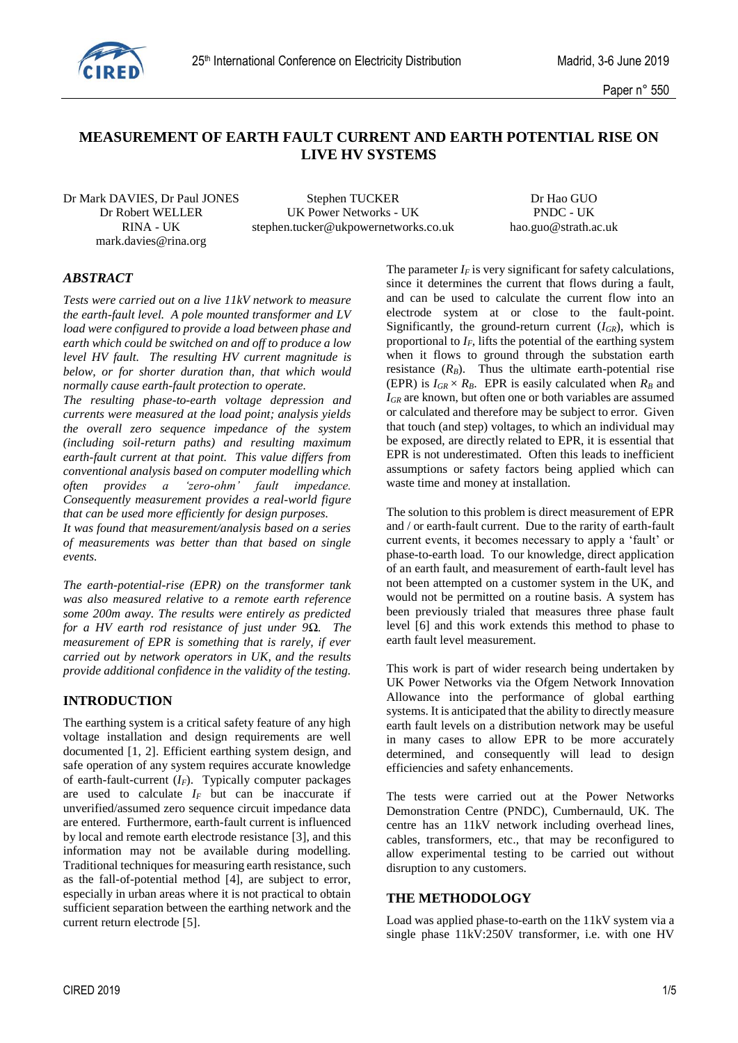

# **MEASUREMENT OF EARTH FAULT CURRENT AND EARTH POTENTIAL RISE ON LIVE HV SYSTEMS**

Dr Mark DAVIES, Dr Paul JONES Stephen TUCKER Dr Hao GUO mark.davies@rina.org

Dr Robert WELLER UK Power Networks - UK PNDC - UK RINA - UK stephen.tucker@ukpowernetworks.co.uk hao.guo@strath.ac.uk

# *ABSTRACT*

*Tests were carried out on a live 11kV network to measure the earth-fault level. A pole mounted transformer and LV load were configured to provide a load between phase and earth which could be switched on and off to produce a low level HV fault. The resulting HV current magnitude is below, or for shorter duration than, that which would normally cause earth-fault protection to operate.*

*The resulting phase-to-earth voltage depression and currents were measured at the load point; analysis yields the overall zero sequence impedance of the system (including soil-return paths) and resulting maximum earth-fault current at that point. This value differs from conventional analysis based on computer modelling which often provides a 'zero-ohm' fault impedance. Consequently measurement provides a real-world figure that can be used more efficiently for design purposes.*

*It was found that measurement/analysis based on a series of measurements was better than that based on single events.*

*The earth-potential-rise (EPR) on the transformer tank was also measured relative to a remote earth reference some 200m away. The results were entirely as predicted for a HV earth rod resistance of just under 9Ω. The measurement of EPR is something that is rarely, if ever carried out by network operators in UK, and the results provide additional confidence in the validity of the testing.*

### **INTRODUCTION**

The earthing system is a critical safety feature of any high voltage installation and design requirements are well documented [1, 2]. Efficient earthing system design, and safe operation of any system requires accurate knowledge of earth-fault-current (*IF*). Typically computer packages are used to calculate  $I_F$  but can be inaccurate if unverified/assumed zero sequence circuit impedance data are entered. Furthermore, earth-fault current is influenced by local and remote earth electrode resistance [3], and this information may not be available during modelling. Traditional techniques for measuring earth resistance, such as the fall-of-potential method [4], are subject to error, especially in urban areas where it is not practical to obtain sufficient separation between the earthing network and the current return electrode [5].

The parameter  $I_F$  is very significant for safety calculations, since it determines the current that flows during a fault, and can be used to calculate the current flow into an electrode system at or close to the fault-point. Significantly, the ground-return current  $(I_{GR})$ , which is proportional to  $I_F$ , lifts the potential of the earthing system when it flows to ground through the substation earth resistance  $(R_B)$ . Thus the ultimate earth-potential rise (EPR) is  $I_{GR} \times R_B$ . EPR is easily calculated when  $R_B$  and *IGR* are known, but often one or both variables are assumed or calculated and therefore may be subject to error. Given that touch (and step) voltages, to which an individual may be exposed, are directly related to EPR, it is essential that EPR is not underestimated. Often this leads to inefficient assumptions or safety factors being applied which can waste time and money at installation.

The solution to this problem is direct measurement of EPR and / or earth-fault current. Due to the rarity of earth-fault current events, it becomes necessary to apply a 'fault' or phase-to-earth load. To our knowledge, direct application of an earth fault, and measurement of earth-fault level has not been attempted on a customer system in the UK, and would not be permitted on a routine basis. A system has been previously trialed that measures three phase fault level [6] and this work extends this method to phase to earth fault level measurement.

This work is part of wider research being undertaken by UK Power Networks via the Ofgem Network Innovation Allowance into the performance of global earthing systems. It is anticipated that the ability to directly measure earth fault levels on a distribution network may be useful in many cases to allow EPR to be more accurately determined, and consequently will lead to design efficiencies and safety enhancements.

The tests were carried out at the Power Networks Demonstration Centre (PNDC), Cumbernauld, UK. The centre has an 11kV network including overhead lines, cables, transformers, etc., that may be reconfigured to allow experimental testing to be carried out without disruption to any customers.

### **THE METHODOLOGY**

Load was applied phase-to-earth on the 11kV system via a single phase 11kV:250V transformer, i.e. with one HV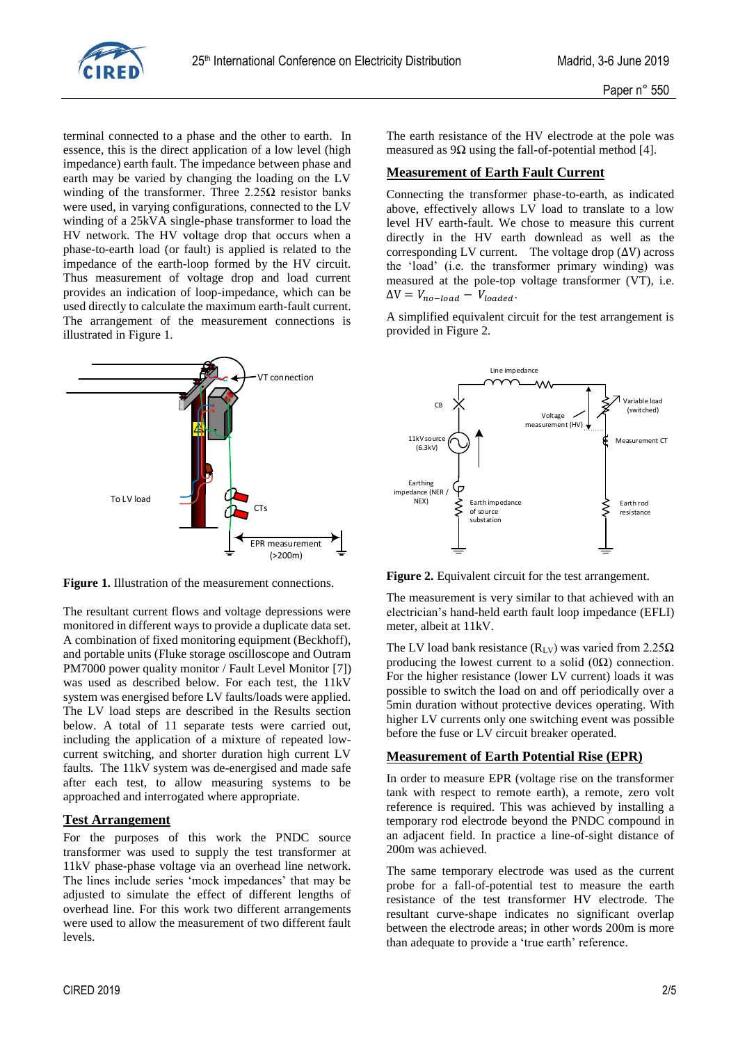

terminal connected to a phase and the other to earth. In essence, this is the direct application of a low level (high impedance) earth fault. The impedance between phase and earth may be varied by changing the loading on the LV winding of the transformer. Three  $2.25\Omega$  resistor banks were used, in varying configurations, connected to the LV winding of a 25kVA single-phase transformer to load the HV network. The HV voltage drop that occurs when a phase-to-earth load (or fault) is applied is related to the impedance of the earth-loop formed by the HV circuit. Thus measurement of voltage drop and load current provides an indication of loop-impedance, which can be used directly to calculate the maximum earth-fault current. The arrangement of the measurement connections is illustrated in Figure 1.



**Figure 1.** Illustration of the measurement connections.

The resultant current flows and voltage depressions were monitored in different ways to provide a duplicate data set. A combination of fixed monitoring equipment (Beckhoff), and portable units (Fluke storage oscilloscope and Outram PM7000 power quality monitor / Fault Level Monitor [7]) was used as described below. For each test, the 11kV system was energised before LV faults/loads were applied. The LV load steps are described in the Results section below. A total of 11 separate tests were carried out, including the application of a mixture of repeated lowcurrent switching, and shorter duration high current LV faults. The 11kV system was de-energised and made safe after each test, to allow measuring systems to be approached and interrogated where appropriate.

# **Test Arrangement**

For the purposes of this work the PNDC source transformer was used to supply the test transformer at 11kV phase-phase voltage via an overhead line network. The lines include series 'mock impedances' that may be adjusted to simulate the effect of different lengths of overhead line. For this work two different arrangements were used to allow the measurement of two different fault levels.

# **Measurement of Earth Fault Current**

Connecting the transformer phase-to-earth, as indicated above, effectively allows LV load to translate to a low level HV earth-fault. We chose to measure this current directly in the HV earth downlead as well as the corresponding LV current. The voltage drop  $(\Delta V)$  across the 'load' (i.e. the transformer primary winding) was measured at the pole-top voltage transformer (VT), i.e.  $\Delta V = V_{no-local} - V_{loaded}.$ 

A simplified equivalent circuit for the test arrangement is provided in Figure 2.



**Figure 2.** Equivalent circuit for the test arrangement.

The measurement is very similar to that achieved with an electrician's hand-held earth fault loop impedance (EFLI) meter, albeit at 11kV.

The LV load bank resistance ( $R_{LV}$ ) was varied from 2.25 $\Omega$ producing the lowest current to a solid  $(0\Omega)$  connection. For the higher resistance (lower LV current) loads it was possible to switch the load on and off periodically over a 5min duration without protective devices operating. With higher LV currents only one switching event was possible before the fuse or LV circuit breaker operated.

# **Measurement of Earth Potential Rise (EPR)**

In order to measure EPR (voltage rise on the transformer tank with respect to remote earth), a remote, zero volt reference is required. This was achieved by installing a temporary rod electrode beyond the PNDC compound in an adjacent field. In practice a line-of-sight distance of 200m was achieved.

The same temporary electrode was used as the current probe for a fall-of-potential test to measure the earth resistance of the test transformer HV electrode. The resultant curve-shape indicates no significant overlap between the electrode areas; in other words 200m is more than adequate to provide a 'true earth' reference.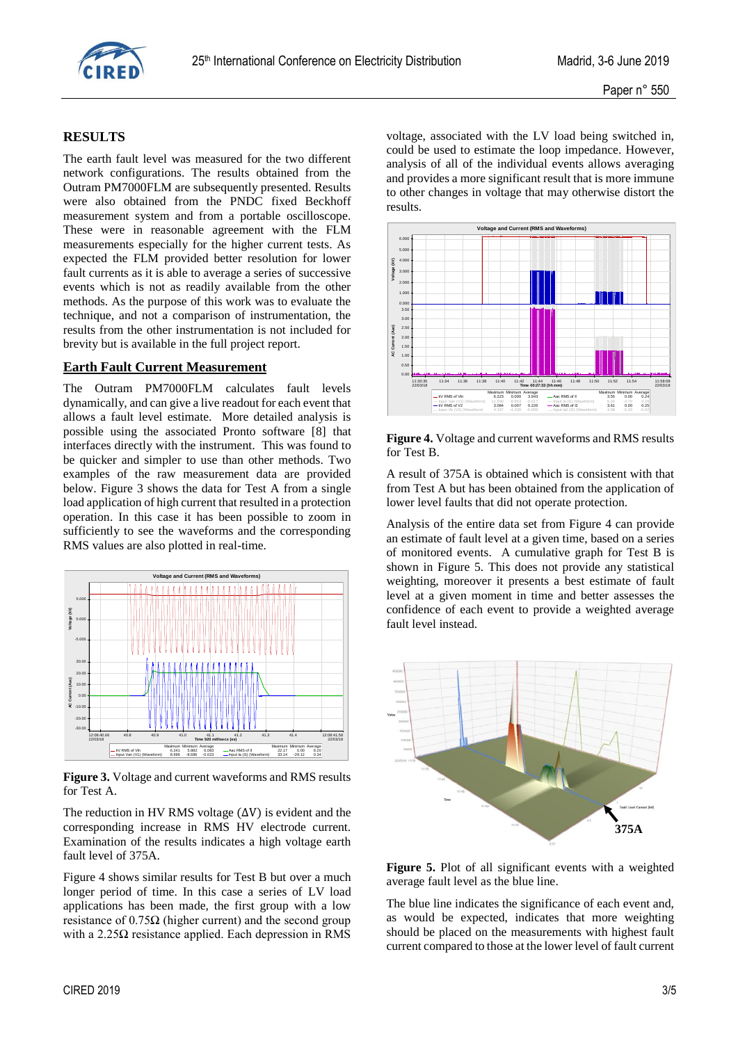

## **RESULTS**

The earth fault level was measured for the two different network configurations. The results obtained from the Outram PM7000FLM are subsequently presented. Results were also obtained from the PNDC fixed Beckhoff measurement system and from a portable oscilloscope. These were in reasonable agreement with the FLM measurements especially for the higher current tests. As expected the FLM provided better resolution for lower fault currents as it is able to average a series of successive events which is not as readily available from the other methods. As the purpose of this work was to evaluate the technique, and not a comparison of instrumentation, the results from the other instrumentation is not included for brevity but is available in the full project report.

### **Earth Fault Current Measurement**

The Outram PM7000FLM calculates fault levels dynamically, and can give a live readout for each event that allows a fault level estimate. More detailed analysis is possible using the associated Pronto software [8] that interfaces directly with the instrument. This was found to be quicker and simpler to use than other methods. Two examples of the raw measurement data are provided below. Figure 3 shows the data for Test A from a single load application of high current that resulted in a protection operation. In this case it has been possible to zoom in sufficiently to see the waveforms and the corresponding RMS values are also plotted in real-time.



**Figure 3.** Voltage and current waveforms and RMS results for Test A.

The reduction in HV RMS voltage  $(\Delta V)$  is evident and the corresponding increase in RMS HV electrode current. Examination of the results indicates a high voltage earth fault level of 375A.

Figure 4 shows similar results for Test B but over a much longer period of time. In this case a series of LV load applications has been made, the first group with a low resistance of  $0.75\Omega$  (higher current) and the second group with a  $2.25\Omega$  resistance applied. Each depression in RMS

voltage, associated with the LV load being switched in, could be used to estimate the loop impedance. However, analysis of all of the individual events allows averaging and provides a more significant result that is more immune to other changes in voltage that may otherwise distort the results.



**Figure 4.** Voltage and current waveforms and RMS results for Test B.

A result of 375A is obtained which is consistent with that from Test A but has been obtained from the application of lower level faults that did not operate protection.

Analysis of the entire data set from Figure 4 can provide an estimate of fault level at a given time, based on a series of monitored events. A cumulative graph for Test B is shown in Figure 5. This does not provide any statistical weighting, moreover it presents a best estimate of fault level at a given moment in time and better assesses the confidence of each event to provide a weighted average fault level instead.



**Figure 5.** Plot of all significant events with a weighted average fault level as the blue line.

The blue line indicates the significance of each event and, as would be expected, indicates that more weighting should be placed on the measurements with highest fault current compared to those at the lower level of fault current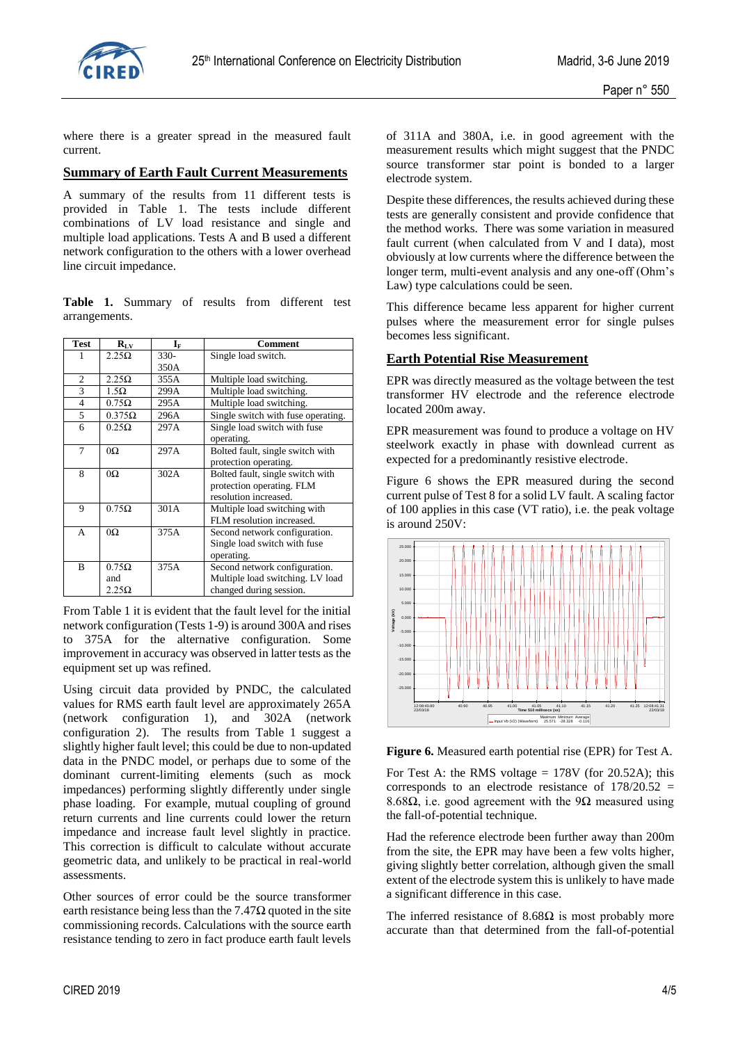

where there is a greater spread in the measured fault current.

### **Summary of Earth Fault Current Measurements**

A summary of the results from 11 different tests is provided in Table 1. The tests include different combinations of LV load resistance and single and multiple load applications. Tests A and B used a different network configuration to the others with a lower overhead line circuit impedance.

**Table 1.** Summary of results from different test arrangements.

| <b>Test</b>    | $R_{LV}$                            | $\mathbf{I}_\mathrm{F}$ | Comment                                                                                      |
|----------------|-------------------------------------|-------------------------|----------------------------------------------------------------------------------------------|
|                | $2.25\Omega$                        | $330-$                  | Single load switch.                                                                          |
|                |                                     | 350A                    |                                                                                              |
| $\overline{c}$ | $2.25\Omega$                        | 355A                    | Multiple load switching.                                                                     |
| 3              | 1.5Ω                                | 299A                    | Multiple load switching.                                                                     |
| $\overline{4}$ | $0.75\Omega$                        | 295A                    | Multiple load switching.                                                                     |
| 5              | $0.375\Omega$                       | 296A                    | Single switch with fuse operating.                                                           |
| 6              | $0.25\Omega$                        | 297A                    | Single load switch with fuse<br>operating.                                                   |
| 7              | $\Omega$                            | 297A                    | Bolted fault, single switch with<br>protection operating.                                    |
| 8              | $0\Omega$                           | 302A                    | Bolted fault, single switch with<br>protection operating. FLM<br>resolution increased.       |
| 9              | $0.75\Omega$                        | 301A                    | Multiple load switching with<br>FLM resolution increased.                                    |
| A              | $\Omega$                            | 375A                    | Second network configuration.<br>Single load switch with fuse<br>operating.                  |
| B              | $0.75\Omega$<br>and<br>$2.25\Omega$ | 375A                    | Second network configuration.<br>Multiple load switching. LV load<br>changed during session. |

From Table 1 it is evident that the fault level for the initial network configuration (Tests 1-9) is around 300A and rises to 375A for the alternative configuration. Some improvement in accuracy was observed in latter tests as the equipment set up was refined.

Using circuit data provided by PNDC, the calculated values for RMS earth fault level are approximately 265A (network configuration 1), and 302A (network configuration 2). The results from Table 1 suggest a slightly higher fault level; this could be due to non-updated data in the PNDC model, or perhaps due to some of the dominant current-limiting elements (such as mock impedances) performing slightly differently under single phase loading. For example, mutual coupling of ground return currents and line currents could lower the return impedance and increase fault level slightly in practice. This correction is difficult to calculate without accurate geometric data, and unlikely to be practical in real-world assessments.

Other sources of error could be the source transformer earth resistance being less than the  $7.47\Omega$  quoted in the site commissioning records. Calculations with the source earth resistance tending to zero in fact produce earth fault levels

of 311A and 380A, i.e. in good agreement with the measurement results which might suggest that the PNDC source transformer star point is bonded to a larger electrode system.

Despite these differences, the results achieved during these tests are generally consistent and provide confidence that the method works. There was some variation in measured fault current (when calculated from V and I data), most obviously at low currents where the difference between the longer term, multi-event analysis and any one-off (Ohm's Law) type calculations could be seen.

This difference became less apparent for higher current pulses where the measurement error for single pulses becomes less significant.

#### **Earth Potential Rise Measurement**

EPR was directly measured as the voltage between the test transformer HV electrode and the reference electrode located 200m away.

EPR measurement was found to produce a voltage on HV steelwork exactly in phase with downlead current as expected for a predominantly resistive electrode.

Figure 6 shows the EPR measured during the second current pulse of Test 8 for a solid LV fault. A scaling factor of 100 applies in this case (VT ratio), i.e. the peak voltage is around 250V:



**Figure 6.** Measured earth potential rise (EPR) for Test A.

For Test A: the RMS voltage  $= 178V$  (for 20.52A); this corresponds to an electrode resistance of  $178/20.52$  = 8.68Ω, i.e. good agreement with the 9Ω measured using the fall-of-potential technique.

Had the reference electrode been further away than 200m from the site, the EPR may have been a few volts higher, giving slightly better correlation, although given the small extent of the electrode system this is unlikely to have made a significant difference in this case.

The inferred resistance of  $8.68\Omega$  is most probably more accurate than that determined from the fall-of-potential